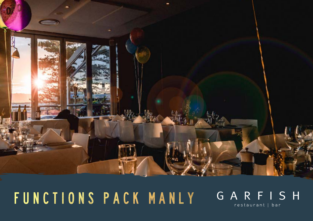

# FUNCTIONS PACK MANLY

## GARFISH restaurant | bar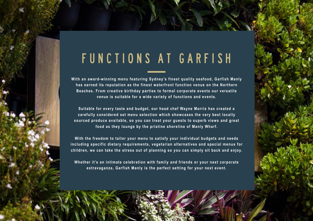## FUNCTIONS AT GARFISH

**With an award-winning menu featuring Sydney's finest quality seafood, Garfish Manly has earned its reputation as the finest waterfront function venue on the Northern Beaches. From creative birthday parties to formal corporate events our versatile venue is suitable for a wide variety of functions and events.** 

**Suitable for every taste and budget, our head chef Wayne Morris has created a carefully considered set menu selection which showcases the very best locally sourced produce available, so you can treat your guests to superb views and great food as they lounge by the pristine shoreline of Manly Wharf.** 

**With the freedom to tailor your menu to satisfy your individual budgets and needs including specific dietary requirements, vegetarian alternatives and special menus for children, we can take the stress out of planning so you can simply sit back and enjoy.** 

**Whether it's an intimate celebration with family and friends or your next corporate extravaganza, Garfish Manly is the perfect setting for your next event.**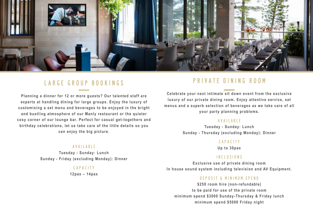

## LARGE GROUP BOOKINGS

**Planning a dinner for 12 or more guests? Our talented staff are experts at handling dining for large groups. Enjoy the luxury of customising a set menu and beverages to be enjoyed in the bright and bustling atmosphere of our Manly restaurant or the quieter cosy corner of our lounge bar. Perfect for casual get-togethers and birthday celebrations, let us take care of the little details so you can enjoy the big picture.** 

#### Available

**Tuesday - Sunday: Lunch Sunday - Friday (excluding Monday): Dinner** 

#### Capacity

**12pax – 14pax** 

### Private Dining Room

**Celebrate your next intimate sit down event from the exclusive luxury of our private dining room. Enjoy attentive service, set menus and a superb selection of beverages as we take care of all your party planning problems.** 

#### Available

**Tuesday - Sunday: Lunch Sunday - Thursday (excluding Monday): Dinner** 

#### Capacity

**Up to 30pax**

#### Inclusions

**Exclusive use of private dining room In house sound system including television and AV Equipment.** 

#### deposit & minimum spend

**\$250 room hire (non-refundable) to be paid for use of the private room minimum spend \$3000 Sunday-Thursday & Friday lunch minimum spend \$5000 Friday night**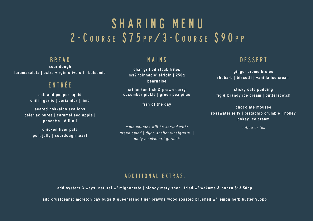## SHARING MENU 2 - C O U R S E S 7 5 P P / 3 - C O U R S E S 9 0 P P

**BRFAD** 

**sour dough taramasalata | extra virgin olive oil | balsamic**

## entrée

**salt and pepper squid chili | garlic | coriander | lime**

**seared hokkaido scallops celeriac puree | caramelised apple | pancetta | dill oil**

> **chicken liver pate port jelly | sourdough toast**

## mains

**char grilled steak frites ms2 'pinnacle' sirloin | 250g bearnaise**

**sri lankan fish & prawn curry cucumber pickle | green pea pilau**

**fish of the day**

*main courses will be served with: green salad | dijon shallot vinaigrette | daily blackboard garnish*

## DESSERT

**ginger creme brulee rhubarb | biscotti | vanilla ice cream**

**sticky date pudding fig & brandy ice cream | butterscotch**

**chocolate mousse rosewater jelly | pistachio crumble | hokey pokey ice cream** 

*coffee or tea*

### additional extras:

**add oysters 3 ways: natural w/ mignonette | bloody mary shot | fried w/ wakame & ponzu \$13.50pp**

**add crustceans: moreton bay bugs & queensland tiger prawns wood roasted brushed w/ lemon herb butter \$35pp**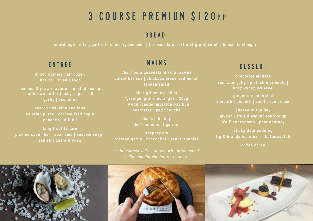## 3 COURSE PREMIUM \$120PP

## Bread

**sourdough | olive, garlic & rosemary focaccia | taramasalata | extra virgin olive oil | balsamic vinegar**

## entrée

**mixed oysters half dozen natural | fried | shot** 

**seabass & prawn raviolo | roasted scampi nut brown butter | baby caper | dill garlic | eschallot**

**seared hokkaido scallops celeriac puree | caramelised apple pancetta | dill oil**

**king trout tartare pickled cucumber | edamame | sesame snap | radish | dashi & yuzu**

## mains

**chermoula queensland king prawns carrot harissa | chickpea preserved lemon labneh salad**

> **char grilled eye fillet 'grainge' grain fed angus | 200g | wood roasted moreton bay bug béarnaise | petit bouche**

> > **fish of the day chef's choice of garnish**

**snapper pie roasted garlic | broccolini | sauce soubise**

*main courses will be served with green salad* 

## DESSERT

**chocolate mousse rosewaer jelly | pistachio crumble | hokey pokey ice cream**

**ginger creme brulee rhubarb | biscotti | vanilla ice cream**

**cheese of the day lavosh | fruit & walnut sourdough WoIF honeycomb | pear chutney**

**sticky date pudding fig & brandy ice cream | butterscotch**

*coffee or tea*

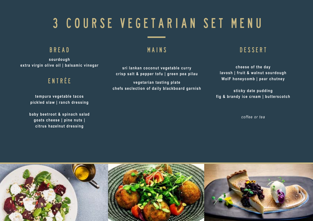# 3 COURSE VEGETARIAN SET MENU

### Bread

**sourdough extra virgin olive oil | balsamic vinegar**

## entrée

**tempura vegetable tacos pickled slaw | ranch dressing**

**baby beetroot & spinach salad goats cheese | pine nuts | citrus hazelnut dressing**

### mains

**sri lankan coconut vegetable curry crisp salt & pepper tofu | green pea pilau**

**vegetarian tasting plate chefs seclection of daily blackboard garnish**

## DESSERT

**cheese of the day lavosh | fruit & walnut sourdough WoIF honeycomb | pear chutney**

**sticky date pudding fig & brandy ice cream | butterscotch**

*coffee or tea*

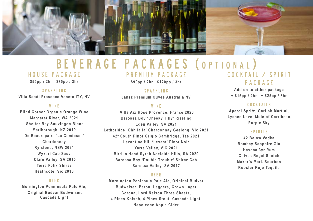

## BEVERAGE PACKAGES (OPTIONAL)

### House Package

**\$55pp / 2hr | \$75pp / 3hr**

Sparkling **Villa Sandi Prosecco Veneto ITY, NV**

#### **WINE**

**Blind Corner Organic Orange Wine Margaret River, WA 2021 Shelter Bay Sauvingon Blanc Marlborough, NZ 2019 De Beaurepaire 'La Comtesse' Chardonnay Rylstone, NSW 2021 Wykari Cab Sauv Clare Valley, SA 2015 Terra Felix Shiraz Heathcote, Vic 2016**

#### **BEER**

**Mornington Penninsula Pale Ale, Original Budvar Budweiser, Cascade Light**

Premium Package

**\$90pp / 2hr | \$120pp / 3hr** 

Sparkling **Jansz Premium Cuvee Australia NV** 

#### **WINE**

 **Villa Aix Rose Provence, France 2020 Barossa Boy 'Cheeky Tilly' Riesling Eden Valley, SA 2021 Lethbridge 'Ohh la la' Chardonnay Geelong, Vic 2021 42 o South Pinot Grigio Cambridge, Tas 2021 Levantine Hill 'Levant' Pinot Noir Yarra Valley, VIC 2021 Bird In Hand Syrah Adelaide Hills, SA 2020 Barossa Boy 'Double Trouble' Shiraz Cab Barossa Valley, SA 2017**

#### Beer

**Mornington Peninsula Pale Ale, Original Budvar Budweiser, Peroni Leggera, Crown Lager Corona, Lord Nelson Three Sheets, 4 Pines Kolsch, 4 Pines Stout, Cascade Light, Napoleone Apple Cider**

## $C$   $O$   $C$   $K$   $T$   $A$   $I$   $L$   $I$   $I$   $S$   $P$   $I$   $R$   $I$   $T$ package

**Add on to either package + \$15pp / 2hr | + \$25pp / 3hr**

#### Cocktails

**Aperol Spritz, Garfish Martini, Lychee Love, Mule of Carribean, Purple Sky** 

#### Spirits

**42 Below Vodka Bombay Sapphire Gin Havana 3yr Rum Chivas Regal Scotch Maker's Mark Bourbon Rooster Rojo Tequila**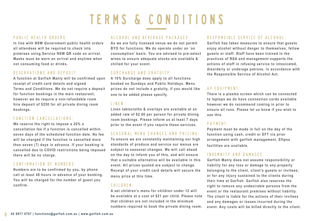# TERMS & CONDITIONS

#### public health orders:

**In line with NSW Government public health orders all attendees will be required to check into premises using Service NSW QR code on arrival. Masks must be worn on arrival and anytime when not consuming food or drinks.**

#### Reservations and Deposit:

**A function at Garfish Manly will be confirmed upon receipt of credit card details and signed Terms and Conditions. We do not require a deposit for function bookings in the main restaurant; however we do require a non-refundable room hire deposit of \$250 for all private dining room bookings.** 

#### Function cancellations:

**We reserve the right to impose a 20% a cancellation fee if a function is cancelled within seven days of the scheduled function date. No fee will be charged if the function is cancelled more than seven (7) days in advance. If your booking is cancelled due to COVID restrictions being imposed there will be no charge.**

#### Confirmation of numbers:

**Numbers are to be confirmed by you, by phone call at least 48 hours in advance of your booking. You will be charged for the number of guest you confirm.** 

#### Alcohol and beverage packages:

**As we are fully licensed venue we do not permit BYO for functions. We do operate under an 'on consumption' basis. You are advised to pre-select wines to ensure adequate stocks are available & chilled for your event.**

#### surcharge and Gratuity:

**A 10% Surcharge does apply to all functions booked on Sundays and Public Holidays. Menu prices do not include a gratuity, if you would like one to be added please specify.**

#### LINEN:

**Linen tablecloths & overlays are available at an added rate of \$2.00 per person for private dining room bookings. Please inform us at least 7 days prior to the event if you require these services.** 

#### Seasonal menu changes and pricing:

**To ensure we are constantly maintaining our high standards of produce and service our menus are subject to seasonal changes. We will call ahead on the day to inform you of this, and will ensure that a suitable alternative will be available in this event. All prices quoted are subject to change. Receipt of your credit card details will secure the menu price at this time.**

#### Children:

**A set children's menu for children under 12 will be available at a cost of \$21 per child. Please note that children are not included in the minimum numbers required to book the private dining room.** 

#### Responsible service of Alcohol:

**Garfish has taken measures to ensure that guests enjoy alcohol without danger to themselves, fellow guests or staff. Staff have been trained in the practices of RSA and management supports the actions of staff in refusing service to intoxicated, disorderly or underage patrons, in accordance with the Responsible Service of Alcohol Act.**

#### AV equipment:

**There is a plasma screen which can be connected to laptops we do have connection cords available however we do recommend coming in prior to ensure all runs. Please let us know if you wish to use this.**

#### PAYMFNT ·

**Payment must be made in full on the day of the function using cash, credit or EFT via prior arrangement with garfish management. Eftpos facilities are available.**

#### Indemnity and Damages:

**Garfish Manly does not assume responsibility or liability for any loss or damage to any property belonging to the client, client's guests or invitees; or for any injury sustained to the clients during their time at Garfish. Garfish also reserves the right to remove any undesirable persons from the event or the restaurant premises without liability. The client is liable for the actions of their invitees and any damages or losses incurred during the event. Any costs will be billed directly to the client.**